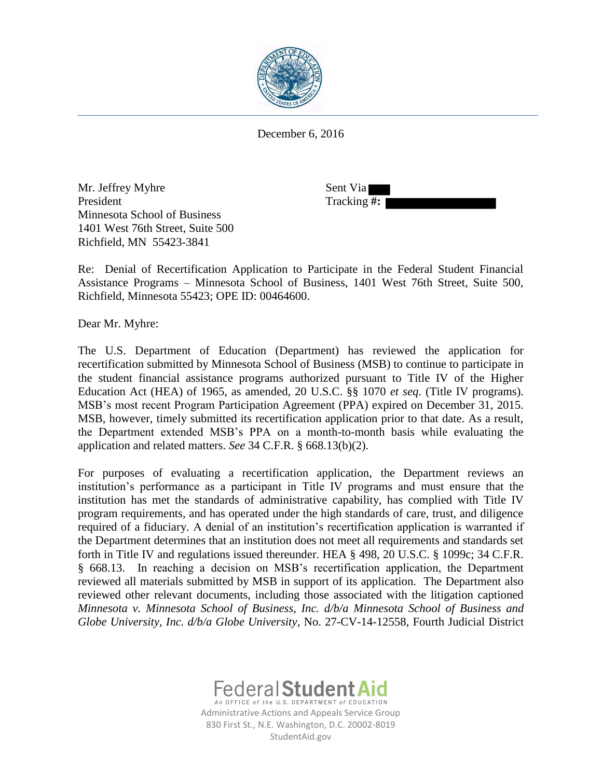

December 6, 2016

Mr. Jeffrey Myhre Sent Via President Tracking #: Minnesota School of Business 1401 West 76th Street, Suite 500 Richfield, MN 55423-3841

Re: Denial of Recertification Application to Participate in the Federal Student Financial Assistance Programs – Minnesota School of Business, 1401 West 76th Street, Suite 500, Richfield, Minnesota 55423; OPE ID: 00464600.

Dear Mr. Myhre:

The U.S. Department of Education (Department) has reviewed the application for recertification submitted by Minnesota School of Business (MSB) to continue to participate in the student financial assistance programs authorized pursuant to Title IV of the Higher Education Act (HEA) of 1965, as amended, 20 U.S.C. §§ 1070 *et seq*. (Title IV programs). MSB's most recent Program Participation Agreement (PPA) expired on December 31, 2015. MSB, however, timely submitted its recertification application prior to that date. As a result, the Department extended MSB's PPA on a month-to-month basis while evaluating the application and related matters. *See* 34 C.F.R. § 668.13(b)(2).

For purposes of evaluating a recertification application, the Department reviews an institution's performance as a participant in Title IV programs and must ensure that the institution has met the standards of administrative capability, has complied with Title IV program requirements, and has operated under the high standards of care, trust, and diligence required of a fiduciary. A denial of an institution's recertification application is warranted if the Department determines that an institution does not meet all requirements and standards set forth in Title IV and regulations issued thereunder. HEA § 498, 20 U.S.C. § 1099c; 34 C.F.R. § 668.13. In reaching a decision on MSB's recertification application, the Department reviewed all materials submitted by MSB in support of its application. The Department also reviewed other relevant documents, including those associated with the litigation captioned *Minnesota v. Minnesota School of Business, Inc. d/b/a Minnesota School of Business and Globe University, Inc. d/b/a Globe University*, No. 27-CV-14-12558, Fourth Judicial District



Administrative Actions and Appeals Service Group 830 First St., N.E. Washington, D.C. 20002-8019 StudentAid.gov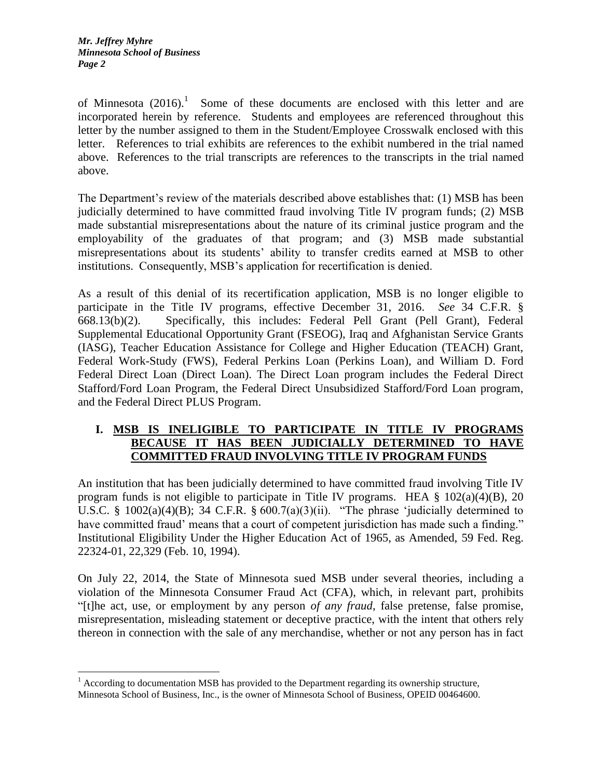of Minnesota  $(2016).$ <sup>1</sup> Some of these documents are enclosed with this letter and are incorporated herein by reference. Students and employees are referenced throughout this letter by the number assigned to them in the Student/Employee Crosswalk enclosed with this letter. References to trial exhibits are references to the exhibit numbered in the trial named above. References to the trial transcripts are references to the transcripts in the trial named above.

The Department's review of the materials described above establishes that: (1) MSB has been judicially determined to have committed fraud involving Title IV program funds; (2) MSB made substantial misrepresentations about the nature of its criminal justice program and the employability of the graduates of that program; and (3) MSB made substantial misrepresentations about its students' ability to transfer credits earned at MSB to other institutions. Consequently, MSB's application for recertification is denied.

As a result of this denial of its recertification application, MSB is no longer eligible to participate in the Title IV programs, effective December 31, 2016. *See* 34 C.F.R. § 668.13(b)(2). Specifically, this includes: Federal Pell Grant (Pell Grant), Federal Supplemental Educational Opportunity Grant (FSEOG), Iraq and Afghanistan Service Grants (IASG), Teacher Education Assistance for College and Higher Education (TEACH) Grant, Federal Work-Study (FWS), Federal Perkins Loan (Perkins Loan), and William D. Ford Federal Direct Loan (Direct Loan). The Direct Loan program includes the Federal Direct Stafford/Ford Loan Program, the Federal Direct Unsubsidized Stafford/Ford Loan program, and the Federal Direct PLUS Program.

# **I. MSB IS INELIGIBLE TO PARTICIPATE IN TITLE IV PROGRAMS BECAUSE IT HAS BEEN JUDICIALLY DETERMINED TO HAVE COMMITTED FRAUD INVOLVING TITLE IV PROGRAM FUNDS**

An institution that has been judicially determined to have committed fraud involving Title IV program funds is not eligible to participate in Title IV programs. HEA  $\S$  102(a)(4)(B), 20 U.S.C. § 1002(a)(4)(B); 34 C.F.R. §  $600.7(a)(3)(ii)$ . "The phrase 'judicially determined to have committed fraud' means that a court of competent jurisdiction has made such a finding." Institutional Eligibility Under the Higher Education Act of 1965, as Amended, 59 Fed. Reg. 22324-01, 22,329 (Feb. 10, 1994).

On July 22, 2014, the State of Minnesota sued MSB under several theories, including a violation of the Minnesota Consumer Fraud Act (CFA), which, in relevant part, prohibits "[t]he act, use, or employment by any person *of any fraud*, false pretense, false promise, misrepresentation, misleading statement or deceptive practice, with the intent that others rely thereon in connection with the sale of any merchandise, whether or not any person has in fact

 $\overline{a}$  $<sup>1</sup>$  According to documentation MSB has provided to the Department regarding its ownership structure,</sup> Minnesota School of Business, Inc., is the owner of Minnesota School of Business, OPEID 00464600.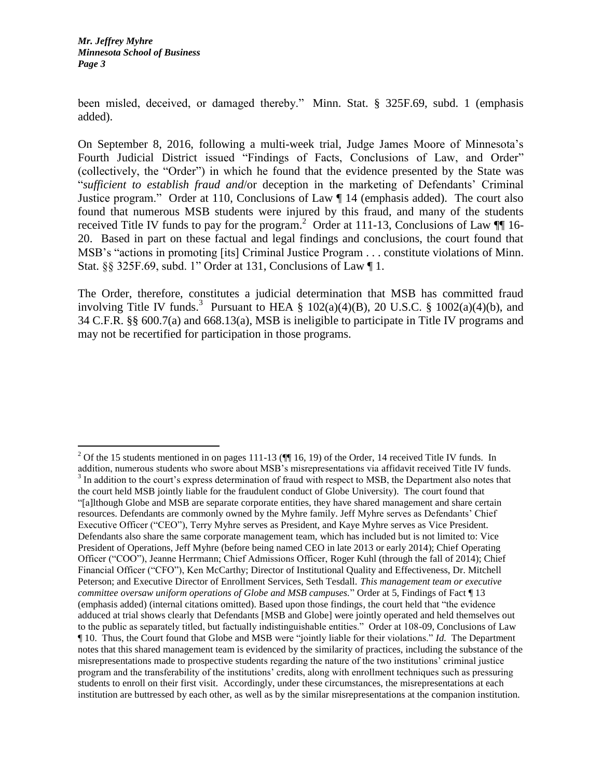been misled, deceived, or damaged thereby." Minn. Stat. § 325F.69, subd. 1 (emphasis added).

On September 8, 2016, following a multi-week trial, Judge James Moore of Minnesota's Fourth Judicial District issued "Findings of Facts, Conclusions of Law, and Order" (collectively, the "Order") in which he found that the evidence presented by the State was "*sufficient to establish fraud and*/or deception in the marketing of Defendants' Criminal Justice program." Order at 110, Conclusions of Law ¶ 14 (emphasis added). The court also found that numerous MSB students were injured by this fraud, and many of the students received Title IV funds to pay for the program.<sup>2</sup> Order at 111-13, Conclusions of Law  $\P$  16-20. Based in part on these factual and legal findings and conclusions, the court found that MSB's "actions in promoting [its] Criminal Justice Program . . . constitute violations of Minn. Stat. §§ 325F.69, subd. 1" Order at 131, Conclusions of Law ¶ 1.

The Order, therefore, constitutes a judicial determination that MSB has committed fraud involving Title IV funds.<sup>3</sup> Pursuant to HEA § 102(a)(4)(B), 20 U.S.C. § 1002(a)(4)(b), and 34 C.F.R. §§ 600.7(a) and 668.13(a), MSB is ineligible to participate in Title IV programs and may not be recertified for participation in those programs.

<sup>&</sup>lt;sup>2</sup> Of the 15 students mentioned in on pages 111-13 ( $\P$  16, 19) of the Order, 14 received Title IV funds. In addition, numerous students who swore about MSB's misrepresentations via affidavit received Title IV funds.  $3$  In addition to the court's express determination of fraud with respect to MSB, the Department also notes that the court held MSB jointly liable for the fraudulent conduct of Globe University). The court found that "[a]lthough Globe and MSB are separate corporate entities, they have shared management and share certain resources. Defendants are commonly owned by the Myhre family. Jeff Myhre serves as Defendants' Chief Executive Officer ("CEO"), Terry Myhre serves as President, and Kaye Myhre serves as Vice President. Defendants also share the same corporate management team, which has included but is not limited to: Vice President of Operations, Jeff Myhre (before being named CEO in late 2013 or early 2014); Chief Operating Officer ("COO"), Jeanne Herrmann; Chief Admissions Officer, Roger Kuhl (through the fall of 2014); Chief Financial Officer ("CFO"), Ken McCarthy; Director of Institutional Quality and Effectiveness, Dr. Mitchell Peterson; and Executive Director of Enrollment Services, Seth Tesdall. *This management team or executive committee oversaw uniform operations of Globe and MSB campuses.*" Order at 5, Findings of Fact ¶ 13 (emphasis added) (internal citations omitted). Based upon those findings, the court held that "the evidence adduced at trial shows clearly that Defendants [MSB and Globe] were jointly operated and held themselves out to the public as separately titled, but factually indistinguishable entities." Order at 108-09, Conclusions of Law ¶ 10. Thus, the Court found that Globe and MSB were "jointly liable for their violations." *Id.* The Department notes that this shared management team is evidenced by the similarity of practices, including the substance of the misrepresentations made to prospective students regarding the nature of the two institutions' criminal justice program and the transferability of the institutions' credits, along with enrollment techniques such as pressuring students to enroll on their first visit. Accordingly, under these circumstances, the misrepresentations at each institution are buttressed by each other, as well as by the similar misrepresentations at the companion institution.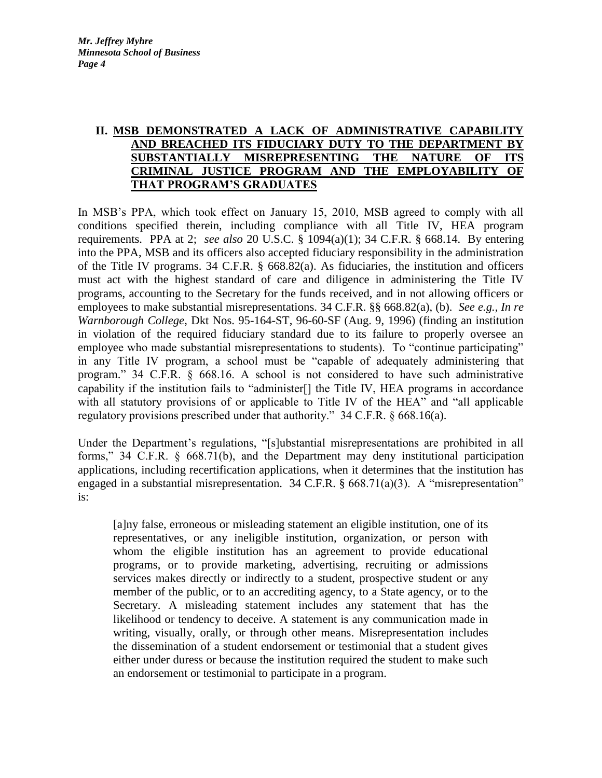# **II. MSB DEMONSTRATED A LACK OF ADMINISTRATIVE CAPABILITY AND BREACHED ITS FIDUCIARY DUTY TO THE DEPARTMENT BY SUBSTANTIALLY MISREPRESENTING THE NATURE OF ITS CRIMINAL JUSTICE PROGRAM AND THE EMPLOYABILITY OF THAT PROGRAM'S GRADUATES**

In MSB's PPA, which took effect on January 15, 2010, MSB agreed to comply with all conditions specified therein, including compliance with all Title IV, HEA program requirements. PPA at 2; *see also* 20 U.S.C. § 1094(a)(1); 34 C.F.R. § 668.14. By entering into the PPA, MSB and its officers also accepted fiduciary responsibility in the administration of the Title IV programs. 34 C.F.R. § 668.82(a). As fiduciaries, the institution and officers must act with the highest standard of care and diligence in administering the Title IV programs, accounting to the Secretary for the funds received, and in not allowing officers or employees to make substantial misrepresentations. 34 C.F.R. §§ 668.82(a), (b). *See e.g., In re Warnborough College*, Dkt Nos. 95-164-ST, 96-60-SF (Aug. 9, 1996) (finding an institution in violation of the required fiduciary standard due to its failure to properly oversee an employee who made substantial misrepresentations to students). To "continue participating" in any Title IV program, a school must be "capable of adequately administering that program." 34 C.F.R. § 668.16. A school is not considered to have such administrative capability if the institution fails to "administer[] the Title IV, HEA programs in accordance with all statutory provisions of or applicable to Title IV of the HEA" and "all applicable regulatory provisions prescribed under that authority." 34 C.F.R. § 668.16(a).

Under the Department's regulations, "[s]ubstantial misrepresentations are prohibited in all forms," 34 C.F.R. § 668.71(b), and the Department may deny institutional participation applications, including recertification applications, when it determines that the institution has engaged in a substantial misrepresentation. 34 C.F.R.  $\S$  668.71(a)(3). A "misrepresentation" is:

[a]ny false, erroneous or misleading statement an eligible institution, one of its representatives, or any ineligible institution, organization, or person with whom the eligible institution has an agreement to provide educational programs, or to provide marketing, advertising, recruiting or admissions services makes directly or indirectly to a student, prospective student or any member of the public, or to an accrediting agency, to a State agency, or to the Secretary. A misleading statement includes any statement that has the likelihood or tendency to deceive. A statement is any communication made in writing, visually, orally, or through other means. Misrepresentation includes the dissemination of a student endorsement or testimonial that a student gives either under duress or because the institution required the student to make such an endorsement or testimonial to participate in a program.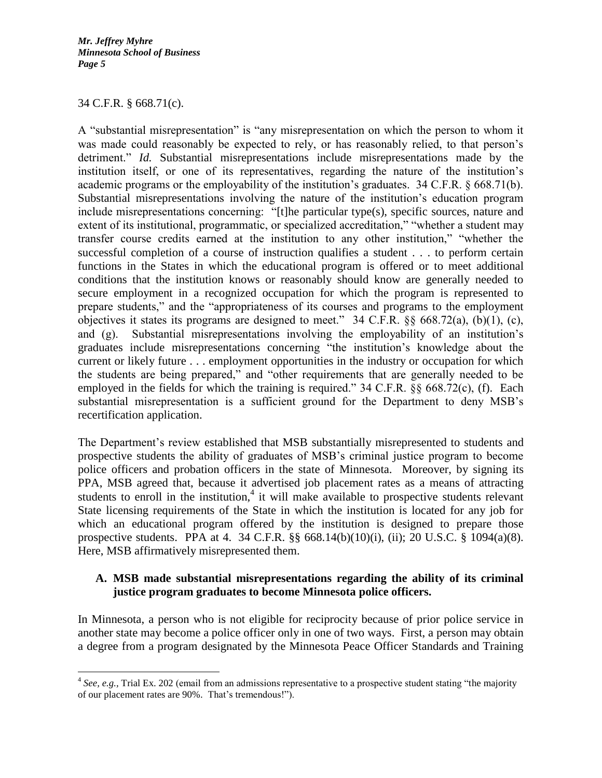*Mr. Jeffrey Myhre Minnesota School of Business Page 5*

34 C.F.R. § 668.71(c).

 $\overline{a}$ 

A "substantial misrepresentation" is "any misrepresentation on which the person to whom it was made could reasonably be expected to rely, or has reasonably relied, to that person's detriment." *Id.* Substantial misrepresentations include misrepresentations made by the institution itself, or one of its representatives, regarding the nature of the institution's academic programs or the employability of the institution's graduates. 34 C.F.R. § 668.71(b). Substantial misrepresentations involving the nature of the institution's education program include misrepresentations concerning: "[t]he particular type(s), specific sources, nature and extent of its institutional, programmatic, or specialized accreditation," "whether a student may transfer course credits earned at the institution to any other institution," "whether the successful completion of a course of instruction qualifies a student . . . to perform certain functions in the States in which the educational program is offered or to meet additional conditions that the institution knows or reasonably should know are generally needed to secure employment in a recognized occupation for which the program is represented to prepare students," and the "appropriateness of its courses and programs to the employment objectives it states its programs are designed to meet." 34 C.F.R.  $\S$ § 668.72(a), (b)(1), (c), and (g). Substantial misrepresentations involving the employability of an institution's graduates include misrepresentations concerning "the institution's knowledge about the current or likely future . . . employment opportunities in the industry or occupation for which the students are being prepared," and "other requirements that are generally needed to be employed in the fields for which the training is required." 34 C.F.R. §§ 668.72(c), (f). Each substantial misrepresentation is a sufficient ground for the Department to deny MSB's recertification application.

The Department's review established that MSB substantially misrepresented to students and prospective students the ability of graduates of MSB's criminal justice program to become police officers and probation officers in the state of Minnesota. Moreover, by signing its PPA, MSB agreed that, because it advertised job placement rates as a means of attracting students to enroll in the institution, $4$  it will make available to prospective students relevant State licensing requirements of the State in which the institution is located for any job for which an educational program offered by the institution is designed to prepare those prospective students. PPA at 4. 34 C.F.R.  $\S$  668.14(b)(10)(i), (ii); 20 U.S.C.  $\S$  1094(a)(8). Here, MSB affirmatively misrepresented them.

# **A. MSB made substantial misrepresentations regarding the ability of its criminal justice program graduates to become Minnesota police officers.**

In Minnesota, a person who is not eligible for reciprocity because of prior police service in another state may become a police officer only in one of two ways. First, a person may obtain a degree from a program designated by the Minnesota Peace Officer Standards and Training

<sup>&</sup>lt;sup>4</sup> See, e.g., Trial Ex. 202 (email from an admissions representative to a prospective student stating "the majority of our placement rates are 90%. That's tremendous!").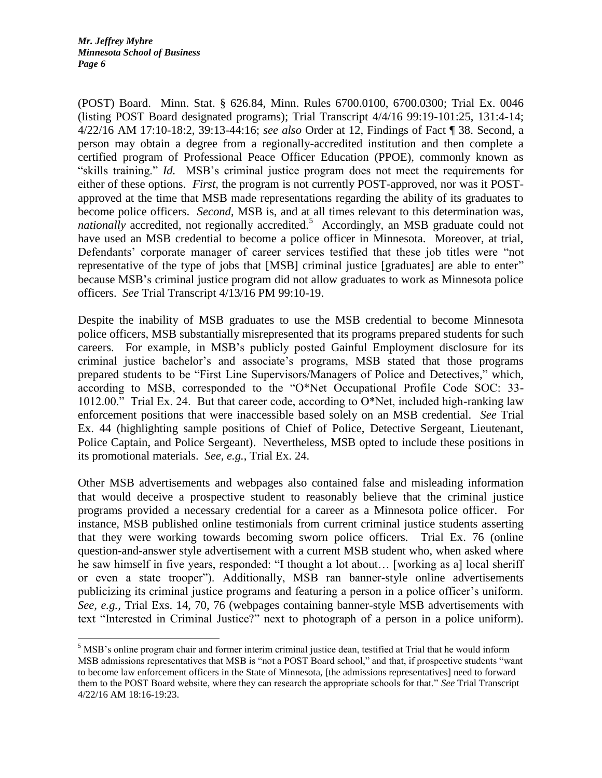(POST) Board. Minn. Stat. § 626.84, Minn. Rules 6700.0100, 6700.0300; Trial Ex. 0046 (listing POST Board designated programs); Trial Transcript 4/4/16 99:19-101:25, 131:4-14; 4/22/16 AM 17:10-18:2, 39:13-44:16; *see also* Order at 12, Findings of Fact ¶ 38. Second, a person may obtain a degree from a regionally-accredited institution and then complete a certified program of Professional Peace Officer Education (PPOE), commonly known as "skills training." *Id.* MSB's criminal justice program does not meet the requirements for either of these options. *First,* the program is not currently POST-approved, nor was it POSTapproved at the time that MSB made representations regarding the ability of its graduates to become police officers. *Second*, MSB is, and at all times relevant to this determination was, nationally accredited, not regionally accredited.<sup>5</sup> Accordingly, an MSB graduate could not have used an MSB credential to become a police officer in Minnesota. Moreover, at trial, Defendants' corporate manager of career services testified that these job titles were "not representative of the type of jobs that [MSB] criminal justice [graduates] are able to enter" because MSB's criminal justice program did not allow graduates to work as Minnesota police officers. *See* Trial Transcript 4/13/16 PM 99:10-19.

Despite the inability of MSB graduates to use the MSB credential to become Minnesota police officers, MSB substantially misrepresented that its programs prepared students for such careers. For example, in MSB's publicly posted Gainful Employment disclosure for its criminal justice bachelor's and associate's programs, MSB stated that those programs prepared students to be "First Line Supervisors/Managers of Police and Detectives," which, according to MSB, corresponded to the "O\*Net Occupational Profile Code SOC: 33- 1012.00." Trial Ex. 24. But that career code, according to O\*Net, included high-ranking law enforcement positions that were inaccessible based solely on an MSB credential. *See* Trial Ex. 44 (highlighting sample positions of Chief of Police, Detective Sergeant, Lieutenant, Police Captain, and Police Sergeant). Nevertheless, MSB opted to include these positions in its promotional materials. *See, e.g.*, Trial Ex. 24.

Other MSB advertisements and webpages also contained false and misleading information that would deceive a prospective student to reasonably believe that the criminal justice programs provided a necessary credential for a career as a Minnesota police officer. For instance, MSB published online testimonials from current criminal justice students asserting that they were working towards becoming sworn police officers. Trial Ex. 76 (online question-and-answer style advertisement with a current MSB student who, when asked where he saw himself in five years, responded: "I thought a lot about… [working as a] local sheriff or even a state trooper"). Additionally, MSB ran banner-style online advertisements publicizing its criminal justice programs and featuring a person in a police officer's uniform. *See, e.g.,* Trial Exs. 14, 70, 76 (webpages containing banner-style MSB advertisements with text "Interested in Criminal Justice?" next to photograph of a person in a police uniform).

<sup>5</sup> MSB's online program chair and former interim criminal justice dean, testified at Trial that he would inform MSB admissions representatives that MSB is "not a POST Board school," and that, if prospective students "want to become law enforcement officers in the State of Minnesota, [the admissions representatives] need to forward them to the POST Board website, where they can research the appropriate schools for that." *See* Trial Transcript 4/22/16 AM 18:16-19:23.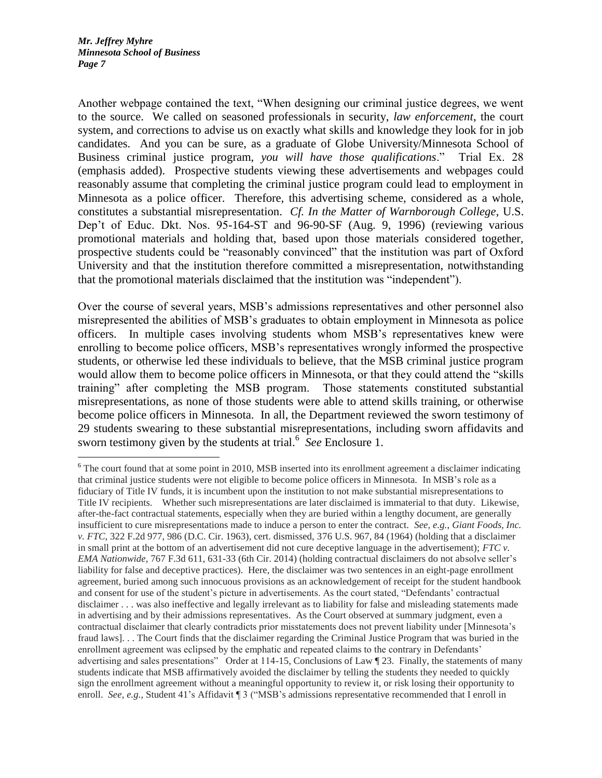Another webpage contained the text, "When designing our criminal justice degrees, we went to the source. We called on seasoned professionals in security, *law enforcement*, the court system, and corrections to advise us on exactly what skills and knowledge they look for in job candidates. And you can be sure, as a graduate of Globe University/Minnesota School of Business criminal justice program, *you will have those qualifications*." Trial Ex. 28 (emphasis added). Prospective students viewing these advertisements and webpages could reasonably assume that completing the criminal justice program could lead to employment in Minnesota as a police officer. Therefore, this advertising scheme, considered as a whole, constitutes a substantial misrepresentation. *Cf. In the Matter of Warnborough College*, U.S. Dep't of Educ. Dkt. Nos. 95-164-ST and 96-90-SF (Aug. 9, 1996) (reviewing various promotional materials and holding that, based upon those materials considered together, prospective students could be "reasonably convinced" that the institution was part of Oxford University and that the institution therefore committed a misrepresentation, notwithstanding that the promotional materials disclaimed that the institution was "independent").

Over the course of several years, MSB's admissions representatives and other personnel also misrepresented the abilities of MSB's graduates to obtain employment in Minnesota as police officers. In multiple cases involving students whom MSB's representatives knew were enrolling to become police officers, MSB's representatives wrongly informed the prospective students, or otherwise led these individuals to believe, that the MSB criminal justice program would allow them to become police officers in Minnesota, or that they could attend the "skills training" after completing the MSB program. Those statements constituted substantial misrepresentations, as none of those students were able to attend skills training, or otherwise become police officers in Minnesota. In all, the Department reviewed the sworn testimony of 29 students swearing to these substantial misrepresentations, including sworn affidavits and sworn testimony given by the students at trial.<sup>6</sup> See Enclosure 1.

<sup>&</sup>lt;sup>6</sup> The court found that at some point in 2010, MSB inserted into its enrollment agreement a disclaimer indicating that criminal justice students were not eligible to become police officers in Minnesota. In MSB's role as a fiduciary of Title IV funds, it is incumbent upon the institution to not make substantial misrepresentations to Title IV recipients. Whether such misrepresentations are later disclaimed is immaterial to that duty. Likewise, after-the-fact contractual statements, especially when they are buried within a lengthy document, are generally insufficient to cure misrepresentations made to induce a person to enter the contract. *See, e.g.*, *Giant Foods, Inc. v. FTC*, 322 F.2d 977, 986 (D.C. Cir. 1963), cert. dismissed, 376 U.S. 967, 84 (1964) (holding that a disclaimer in small print at the bottom of an advertisement did not cure deceptive language in the advertisement); *FTC v. EMA Nationwide*, 767 F.3d 611, 631-33 (6th Cir. 2014) (holding contractual disclaimers do not absolve seller's liability for false and deceptive practices). Here, the disclaimer was two sentences in an eight-page enrollment agreement, buried among such innocuous provisions as an acknowledgement of receipt for the student handbook and consent for use of the student's picture in advertisements. As the court stated, "Defendants' contractual disclaimer . . . was also ineffective and legally irrelevant as to liability for false and misleading statements made in advertising and by their admissions representatives. As the Court observed at summary judgment, even a contractual disclaimer that clearly contradicts prior misstatements does not prevent liability under [Minnesota's fraud laws]. . . The Court finds that the disclaimer regarding the Criminal Justice Program that was buried in the enrollment agreement was eclipsed by the emphatic and repeated claims to the contrary in Defendants' advertising and sales presentations" Order at 114-15, Conclusions of Law ¶ 23. Finally, the statements of many students indicate that MSB affirmatively avoided the disclaimer by telling the students they needed to quickly sign the enrollment agreement without a meaningful opportunity to review it, or risk losing their opportunity to enroll. *See, e.g.*, Student 41's Affidavit ¶ 3 ("MSB's admissions representative recommended that I enroll in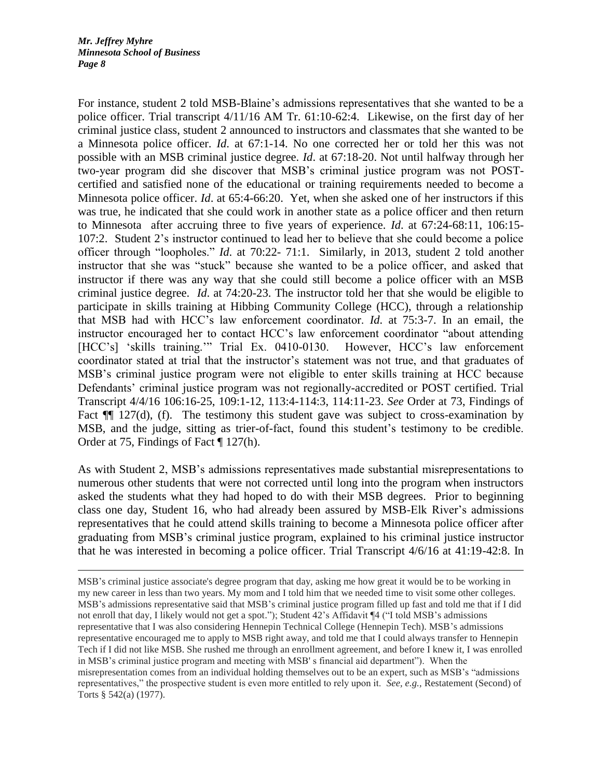For instance, student 2 told MSB-Blaine's admissions representatives that she wanted to be a police officer. Trial transcript 4/11/16 AM Tr. 61:10-62:4. Likewise, on the first day of her criminal justice class, student 2 announced to instructors and classmates that she wanted to be a Minnesota police officer. *Id*. at 67:1-14. No one corrected her or told her this was not possible with an MSB criminal justice degree. *Id*. at 67:18-20. Not until halfway through her two-year program did she discover that MSB's criminal justice program was not POSTcertified and satisfied none of the educational or training requirements needed to become a Minnesota police officer. *Id*. at 65:4-66:20. Yet, when she asked one of her instructors if this was true, he indicated that she could work in another state as a police officer and then return to Minnesota after accruing three to five years of experience. *Id*. at 67:24-68:11, 106:15- 107:2. Student 2's instructor continued to lead her to believe that she could become a police officer through "loopholes." *Id*. at 70:22- 71:1. Similarly, in 2013, student 2 told another instructor that she was "stuck" because she wanted to be a police officer, and asked that instructor if there was any way that she could still become a police officer with an MSB criminal justice degree. *Id*. at 74:20-23. The instructor told her that she would be eligible to participate in skills training at Hibbing Community College (HCC), through a relationship that MSB had with HCC's law enforcement coordinator. *Id*. at 75:3-7. In an email, the instructor encouraged her to contact HCC's law enforcement coordinator "about attending [HCC's] 'skills training.'" Trial Ex. 0410-0130. However, HCC's law enforcement coordinator stated at trial that the instructor's statement was not true, and that graduates of MSB's criminal justice program were not eligible to enter skills training at HCC because Defendants' criminal justice program was not regionally-accredited or POST certified. Trial Transcript 4/4/16 106:16-25, 109:1-12, 113:4-114:3, 114:11-23. *See* Order at 73, Findings of Fact  $\P$  127(d), (f). The testimony this student gave was subject to cross-examination by MSB, and the judge, sitting as trier-of-fact, found this student's testimony to be credible. Order at 75, Findings of Fact ¶ 127(h).

As with Student 2, MSB's admissions representatives made substantial misrepresentations to numerous other students that were not corrected until long into the program when instructors asked the students what they had hoped to do with their MSB degrees. Prior to beginning class one day, Student 16, who had already been assured by MSB-Elk River's admissions representatives that he could attend skills training to become a Minnesota police officer after graduating from MSB's criminal justice program, explained to his criminal justice instructor that he was interested in becoming a police officer. Trial Transcript 4/6/16 at 41:19-42:8. In

MSB's criminal justice associate's degree program that day, asking me how great it would be to be working in my new career in less than two years. My mom and I told him that we needed time to visit some other colleges. MSB's admissions representative said that MSB's criminal justice program filled up fast and told me that if I did not enroll that day, I likely would not get a spot."); Student 42's Affidavit ¶4 ("I told MSB's admissions representative that I was also considering Hennepin Technical College (Hennepin Tech). MSB's admissions representative encouraged me to apply to MSB right away, and told me that I could always transfer to Hennepin Tech if I did not like MSB. She rushed me through an enrollment agreement, and before I knew it, I was enrolled in MSB's criminal justice program and meeting with MSB' s financial aid department"). When the misrepresentation comes from an individual holding themselves out to be an expert, such as MSB's "admissions representatives," the prospective student is even more entitled to rely upon it. *See, e.g.,* Restatement (Second) of Torts § 542(a) (1977).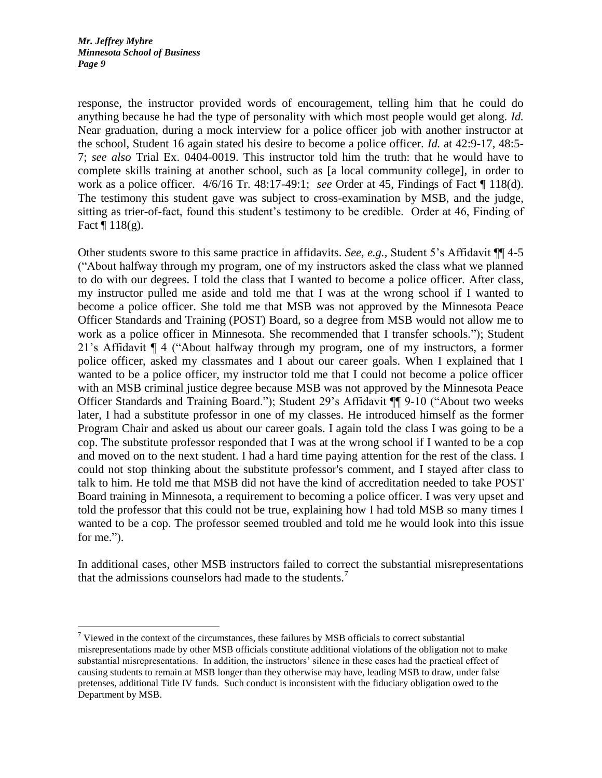response, the instructor provided words of encouragement, telling him that he could do anything because he had the type of personality with which most people would get along. *Id.* Near graduation, during a mock interview for a police officer job with another instructor at the school, Student 16 again stated his desire to become a police officer. *Id.* at 42:9-17, 48:5- 7; *see also* Trial Ex. 0404-0019. This instructor told him the truth: that he would have to complete skills training at another school, such as [a local community college], in order to work as a police officer. 4/6/16 Tr. 48:17-49:1; *see* Order at 45, Findings of Fact ¶ 118(d). The testimony this student gave was subject to cross-examination by MSB, and the judge, sitting as trier-of-fact, found this student's testimony to be credible. Order at 46, Finding of Fact  $\P$  118(g).

Other students swore to this same practice in affidavits. *See, e.g.,* Student 5's Affidavit ¶¶ 4-5 ("About halfway through my program, one of my instructors asked the class what we planned to do with our degrees. I told the class that I wanted to become a police officer. After class, my instructor pulled me aside and told me that I was at the wrong school if I wanted to become a police officer. She told me that MSB was not approved by the Minnesota Peace Officer Standards and Training (POST) Board, so a degree from MSB would not allow me to work as a police officer in Minnesota. She recommended that I transfer schools."); Student 21's Affidavit ¶ 4 ("About halfway through my program, one of my instructors, a former police officer, asked my classmates and I about our career goals. When I explained that I wanted to be a police officer, my instructor told me that I could not become a police officer with an MSB criminal justice degree because MSB was not approved by the Minnesota Peace Officer Standards and Training Board."); Student 29's Affidavit ¶¶ 9-10 ("About two weeks later, I had a substitute professor in one of my classes. He introduced himself as the former Program Chair and asked us about our career goals. I again told the class I was going to be a cop. The substitute professor responded that I was at the wrong school if I wanted to be a cop and moved on to the next student. I had a hard time paying attention for the rest of the class. I could not stop thinking about the substitute professor's comment, and I stayed after class to talk to him. He told me that MSB did not have the kind of accreditation needed to take POST Board training in Minnesota, a requirement to becoming a police officer. I was very upset and told the professor that this could not be true, explaining how I had told MSB so many times I wanted to be a cop. The professor seemed troubled and told me he would look into this issue for me.").

In additional cases, other MSB instructors failed to correct the substantial misrepresentations that the admissions counselors had made to the students.<sup>7</sup>

 $7$  Viewed in the context of the circumstances, these failures by MSB officials to correct substantial misrepresentations made by other MSB officials constitute additional violations of the obligation not to make substantial misrepresentations. In addition, the instructors' silence in these cases had the practical effect of causing students to remain at MSB longer than they otherwise may have, leading MSB to draw, under false pretenses, additional Title IV funds. Such conduct is inconsistent with the fiduciary obligation owed to the Department by MSB.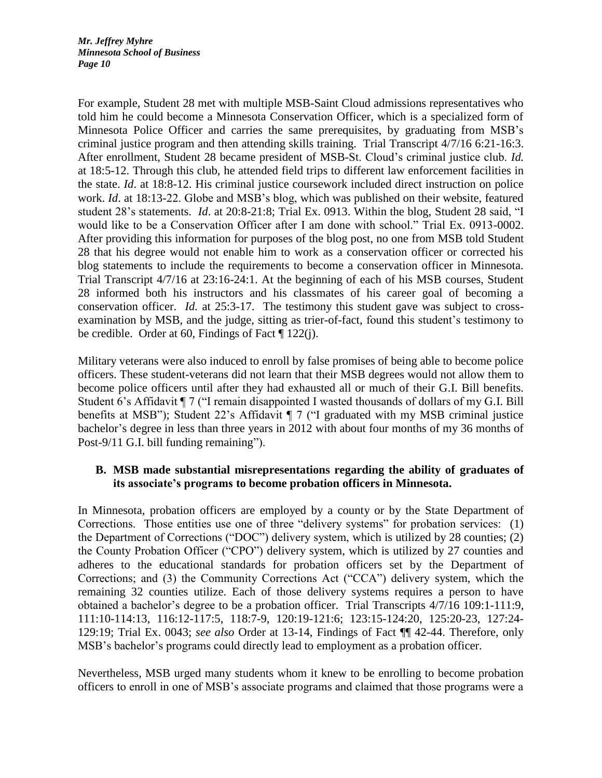For example, Student 28 met with multiple MSB-Saint Cloud admissions representatives who told him he could become a Minnesota Conservation Officer, which is a specialized form of Minnesota Police Officer and carries the same prerequisites, by graduating from MSB's criminal justice program and then attending skills training. Trial Transcript 4/7/16 6:21-16:3. After enrollment, Student 28 became president of MSB-St. Cloud's criminal justice club. *Id.*  at 18:5-12. Through this club, he attended field trips to different law enforcement facilities in the state. *Id*. at 18:8-12. His criminal justice coursework included direct instruction on police work. *Id*. at 18:13-22. Globe and MSB's blog, which was published on their website, featured student 28's statements. *Id*. at 20:8-21:8; Trial Ex. 0913. Within the blog, Student 28 said, "I would like to be a Conservation Officer after I am done with school." Trial Ex. 0913-0002. After providing this information for purposes of the blog post, no one from MSB told Student 28 that his degree would not enable him to work as a conservation officer or corrected his blog statements to include the requirements to become a conservation officer in Minnesota. Trial Transcript 4/7/16 at 23:16-24:1. At the beginning of each of his MSB courses, Student 28 informed both his instructors and his classmates of his career goal of becoming a conservation officer. *Id.* at 25:3-17. The testimony this student gave was subject to crossexamination by MSB, and the judge, sitting as trier-of-fact, found this student's testimony to be credible. Order at 60, Findings of Fact  $\P$  122(j).

Military veterans were also induced to enroll by false promises of being able to become police officers. These student-veterans did not learn that their MSB degrees would not allow them to become police officers until after they had exhausted all or much of their G.I. Bill benefits. Student 6's Affidavit  $\P$  7 ("I remain disappointed I wasted thousands of dollars of my G.I. Bill benefits at MSB"); Student 22's Affidavit ¶ 7 ("I graduated with my MSB criminal justice bachelor's degree in less than three years in 2012 with about four months of my 36 months of Post-9/11 G.I. bill funding remaining").

#### **B. MSB made substantial misrepresentations regarding the ability of graduates of its associate's programs to become probation officers in Minnesota.**

In Minnesota, probation officers are employed by a county or by the State Department of Corrections. Those entities use one of three "delivery systems" for probation services: (1) the Department of Corrections ("DOC") delivery system, which is utilized by 28 counties; (2) the County Probation Officer ("CPO") delivery system, which is utilized by 27 counties and adheres to the educational standards for probation officers set by the Department of Corrections; and (3) the Community Corrections Act ("CCA") delivery system, which the remaining 32 counties utilize. Each of those delivery systems requires a person to have obtained a bachelor's degree to be a probation officer. Trial Transcripts 4/7/16 109:1-111:9, 111:10-114:13, 116:12-117:5, 118:7-9, 120:19-121:6; 123:15-124:20, 125:20-23, 127:24- 129:19; Trial Ex. 0043; *see also* Order at 13-14, Findings of Fact ¶¶ 42-44. Therefore, only MSB's bachelor's programs could directly lead to employment as a probation officer.

Nevertheless, MSB urged many students whom it knew to be enrolling to become probation officers to enroll in one of MSB's associate programs and claimed that those programs were a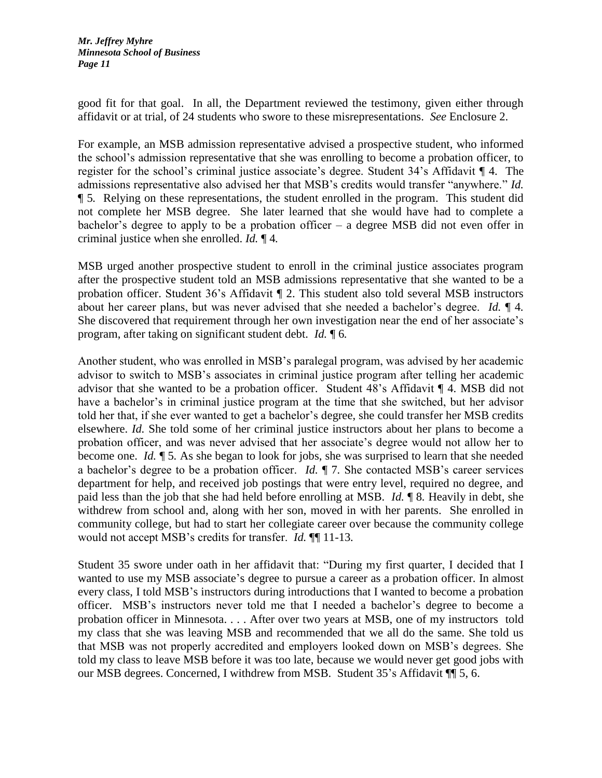*Mr. Jeffrey Myhre Minnesota School of Business Page 11*

good fit for that goal. In all, the Department reviewed the testimony, given either through affidavit or at trial, of 24 students who swore to these misrepresentations. *See* Enclosure 2.

For example, an MSB admission representative advised a prospective student, who informed the school's admission representative that she was enrolling to become a probation officer, to register for the school's criminal justice associate's degree. Student 34's Affidavit ¶ 4. The admissions representative also advised her that MSB's credits would transfer "anywhere." *Id.* ¶ 5*.* Relying on these representations, the student enrolled in the program. This student did not complete her MSB degree. She later learned that she would have had to complete a bachelor's degree to apply to be a probation officer – a degree MSB did not even offer in criminal justice when she enrolled. *Id.* ¶ 4*.*

MSB urged another prospective student to enroll in the criminal justice associates program after the prospective student told an MSB admissions representative that she wanted to be a probation officer. Student 36's Affidavit ¶ 2. This student also told several MSB instructors about her career plans, but was never advised that she needed a bachelor's degree. *Id.* ¶ 4*.*  She discovered that requirement through her own investigation near the end of her associate's program, after taking on significant student debt. *Id.* ¶ 6*.* 

Another student, who was enrolled in MSB's paralegal program, was advised by her academic advisor to switch to MSB's associates in criminal justice program after telling her academic advisor that she wanted to be a probation officer. Student 48's Affidavit ¶ 4. MSB did not have a bachelor's in criminal justice program at the time that she switched, but her advisor told her that, if she ever wanted to get a bachelor's degree, she could transfer her MSB credits elsewhere. *Id.* She told some of her criminal justice instructors about her plans to become a probation officer, and was never advised that her associate's degree would not allow her to become one. *Id.* ¶ 5*.* As she began to look for jobs, she was surprised to learn that she needed a bachelor's degree to be a probation officer. *Id.* ¶ 7*.* She contacted MSB's career services department for help, and received job postings that were entry level, required no degree, and paid less than the job that she had held before enrolling at MSB. *Id.* ¶ 8*.* Heavily in debt, she withdrew from school and, along with her son, moved in with her parents. She enrolled in community college, but had to start her collegiate career over because the community college would not accept MSB's credits for transfer. *Id.* ¶¶ 11-13*.* 

Student 35 swore under oath in her affidavit that: "During my first quarter, I decided that I wanted to use my MSB associate's degree to pursue a career as a probation officer. In almost every class, I told MSB's instructors during introductions that I wanted to become a probation officer. MSB's instructors never told me that I needed a bachelor's degree to become a probation officer in Minnesota. . . . After over two years at MSB, one of my instructors told my class that she was leaving MSB and recommended that we all do the same. She told us that MSB was not properly accredited and employers looked down on MSB's degrees. She told my class to leave MSB before it was too late, because we would never get good jobs with our MSB degrees. Concerned, I withdrew from MSB. Student 35's Affidavit ¶¶ 5, 6.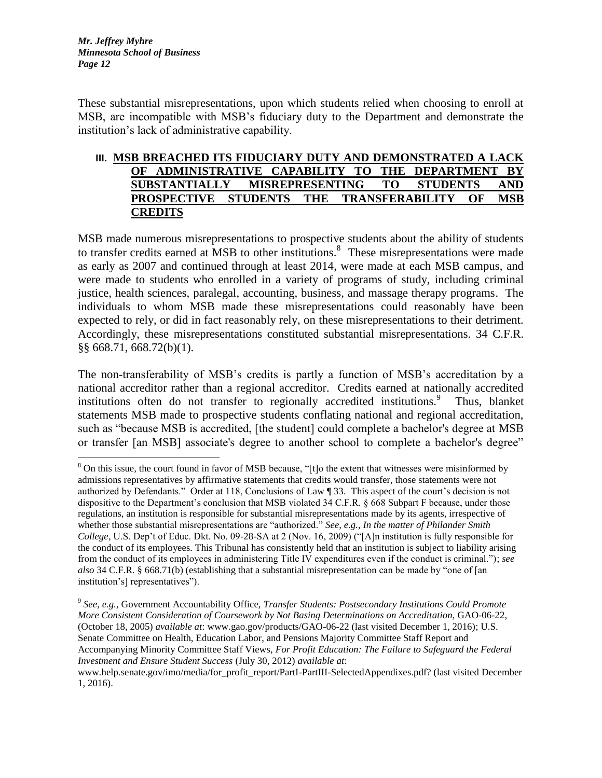These substantial misrepresentations, upon which students relied when choosing to enroll at MSB, are incompatible with MSB's fiduciary duty to the Department and demonstrate the institution's lack of administrative capability.

#### **III. MSB BREACHED ITS FIDUCIARY DUTY AND DEMONSTRATED A LACK OF ADMINISTRATIVE CAPABILITY TO THE DEPARTMENT BY SUBSTANTIALLY MISREPRESENTING TO STUDENTS AND PROSPECTIVE STUDENTS THE TRANSFERABILITY OF MSB CREDITS**

MSB made numerous misrepresentations to prospective students about the ability of students to transfer credits earned at  $\overline{MSB}$  to other institutions.<sup>8</sup> These misrepresentations were made as early as 2007 and continued through at least 2014, were made at each MSB campus, and were made to students who enrolled in a variety of programs of study, including criminal justice, health sciences, paralegal, accounting, business, and massage therapy programs. The individuals to whom MSB made these misrepresentations could reasonably have been expected to rely, or did in fact reasonably rely, on these misrepresentations to their detriment. Accordingly, these misrepresentations constituted substantial misrepresentations. 34 C.F.R. §§ 668.71, 668.72(b)(1).

The non-transferability of MSB's credits is partly a function of MSB's accreditation by a national accreditor rather than a regional accreditor. Credits earned at nationally accredited institutions often do not transfer to regionally accredited institutions.<sup>9</sup> Thus, blanket statements MSB made to prospective students conflating national and regional accreditation, such as "because MSB is accredited, [the student] could complete a bachelor's degree at MSB or transfer [an MSB] associate's degree to another school to complete a bachelor's degree"

<sup>&</sup>lt;sup>8</sup> On this issue, the court found in favor of MSB because, "[t]o the extent that witnesses were misinformed by admissions representatives by affirmative statements that credits would transfer, those statements were not authorized by Defendants." Order at 118, Conclusions of Law ¶ 33. This aspect of the court's decision is not dispositive to the Department's conclusion that MSB violated 34 C.F.R. § 668 Subpart F because, under those regulations, an institution is responsible for substantial misrepresentations made by its agents, irrespective of whether those substantial misrepresentations are "authorized." *See, e.g., In the matter of Philander Smith College*, U.S. Dep't of Educ. Dkt. No. 09-28-SA at 2 (Nov. 16, 2009) ("[A]n institution is fully responsible for the conduct of its employees. This Tribunal has consistently held that an institution is subject to liability arising from the conduct of its employees in administering Title IV expenditures even if the conduct is criminal."); *see also* 34 C.F.R. § 668.71(b) (establishing that a substantial misrepresentation can be made by "one of [an institution's] representatives").

<sup>9</sup> *See, e.g.*, Government Accountability Office, *Transfer Students: Postsecondary Institutions Could Promote More Consistent Consideration of Coursework by Not Basing Determinations on Accreditation*, GAO-06-22, (October 18, 2005) *available at*: www.gao.gov/products/GAO-06-22 (last visited December 1, 2016); U.S. Senate Committee on Health, Education Labor, and Pensions Majority Committee Staff Report and Accompanying Minority Committee Staff Views, *For Profit Education: The Failure to Safeguard the Federal Investment and Ensure Student Success* (July 30, 2012) *available at*:

www.help.senate.gov/imo/media/for\_profit\_report/PartI-PartIII-SelectedAppendixes.pdf? (last visited December 1, 2016).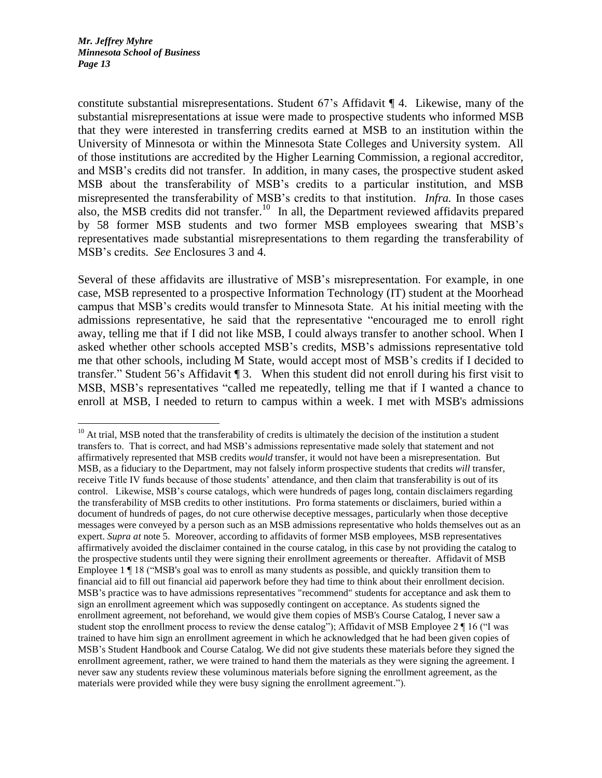constitute substantial misrepresentations. Student 67's Affidavit ¶ 4. Likewise, many of the substantial misrepresentations at issue were made to prospective students who informed MSB that they were interested in transferring credits earned at MSB to an institution within the University of Minnesota or within the Minnesota State Colleges and University system. All of those institutions are accredited by the Higher Learning Commission, a regional accreditor, and MSB's credits did not transfer. In addition, in many cases, the prospective student asked MSB about the transferability of MSB's credits to a particular institution, and MSB misrepresented the transferability of MSB's credits to that institution. *Infra.* In those cases also, the MSB credits did not transfer.<sup>10</sup> In all, the Department reviewed affidavits prepared by 58 former MSB students and two former MSB employees swearing that MSB's representatives made substantial misrepresentations to them regarding the transferability of MSB's credits. *See* Enclosures 3 and 4.

Several of these affidavits are illustrative of MSB's misrepresentation. For example, in one case, MSB represented to a prospective Information Technology (IT) student at the Moorhead campus that MSB's credits would transfer to Minnesota State. At his initial meeting with the admissions representative, he said that the representative "encouraged me to enroll right away, telling me that if I did not like MSB, I could always transfer to another school. When I asked whether other schools accepted MSB's credits, MSB's admissions representative told me that other schools, including M State, would accept most of MSB's credits if I decided to transfer." Student 56's Affidavit ¶ 3. When this student did not enroll during his first visit to MSB, MSB's representatives "called me repeatedly, telling me that if I wanted a chance to enroll at MSB, I needed to return to campus within a week. I met with MSB's admissions

 $10$  At trial, MSB noted that the transferability of credits is ultimately the decision of the institution a student transfers to. That is correct, and had MSB's admissions representative made solely that statement and not affirmatively represented that MSB credits *would* transfer, it would not have been a misrepresentation. But MSB, as a fiduciary to the Department, may not falsely inform prospective students that credits *will* transfer, receive Title IV funds because of those students' attendance, and then claim that transferability is out of its control. Likewise, MSB's course catalogs, which were hundreds of pages long, contain disclaimers regarding the transferability of MSB credits to other institutions. Pro forma statements or disclaimers, buried within a document of hundreds of pages, do not cure otherwise deceptive messages, particularly when those deceptive messages were conveyed by a person such as an MSB admissions representative who holds themselves out as an expert. *Supra at* note 5. Moreover, according to affidavits of former MSB employees, MSB representatives affirmatively avoided the disclaimer contained in the course catalog, in this case by not providing the catalog to the prospective students until they were signing their enrollment agreements or thereafter. Affidavit of MSB Employee 1 ¶ 18 ("MSB's goal was to enroll as many students as possible, and quickly transition them to financial aid to fill out financial aid paperwork before they had time to think about their enrollment decision. MSB's practice was to have admissions representatives "recommend" students for acceptance and ask them to sign an enrollment agreement which was supposedly contingent on acceptance. As students signed the enrollment agreement, not beforehand, we would give them copies of MSB's Course Catalog, I never saw a student stop the enrollment process to review the dense catalog"); Affidavit of MSB Employee 2 ¶ 16 ("I was trained to have him sign an enrollment agreement in which he acknowledged that he had been given copies of MSB's Student Handbook and Course Catalog. We did not give students these materials before they signed the enrollment agreement, rather, we were trained to hand them the materials as they were signing the agreement. I never saw any students review these voluminous materials before signing the enrollment agreement, as the materials were provided while they were busy signing the enrollment agreement.").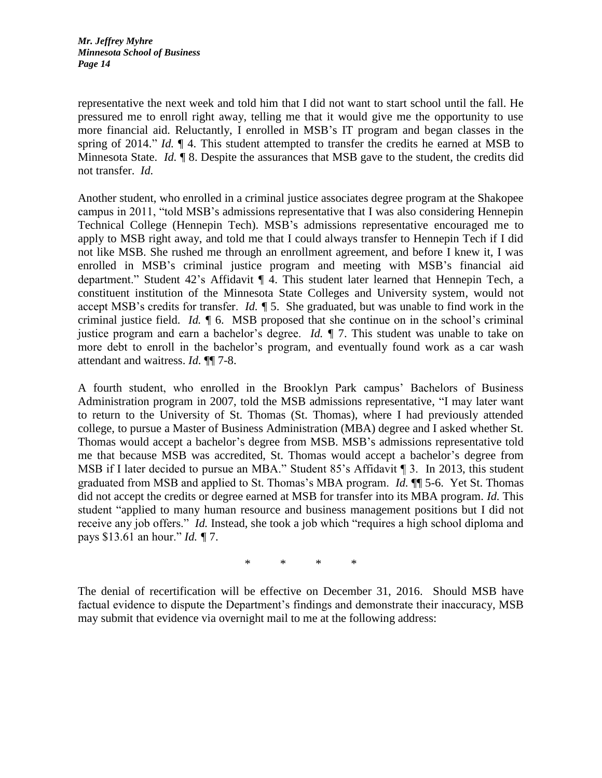representative the next week and told him that I did not want to start school until the fall. He pressured me to enroll right away, telling me that it would give me the opportunity to use more financial aid. Reluctantly, I enrolled in MSB's IT program and began classes in the spring of 2014." *Id.* ¶ 4. This student attempted to transfer the credits he earned at MSB to Minnesota State. *Id.* 18. Despite the assurances that MSB gave to the student, the credits did not transfer. *Id.*

Another student, who enrolled in a criminal justice associates degree program at the Shakopee campus in 2011, "told MSB's admissions representative that I was also considering Hennepin Technical College (Hennepin Tech). MSB's admissions representative encouraged me to apply to MSB right away, and told me that I could always transfer to Hennepin Tech if I did not like MSB. She rushed me through an enrollment agreement, and before I knew it, I was enrolled in MSB's criminal justice program and meeting with MSB's financial aid department." Student 42's Affidavit ¶ 4. This student later learned that Hennepin Tech, a constituent institution of the Minnesota State Colleges and University system, would not accept MSB's credits for transfer. *Id. ¶* 5. She graduated, but was unable to find work in the criminal justice field. *Id. ¶* 6. MSB proposed that she continue on in the school's criminal justice program and earn a bachelor's degree. *Id. ¶* 7. This student was unable to take on more debt to enroll in the bachelor's program, and eventually found work as a car wash attendant and waitress. *Id.* ¶¶ 7-8.

A fourth student, who enrolled in the Brooklyn Park campus' Bachelors of Business Administration program in 2007, told the MSB admissions representative, "I may later want to return to the University of St. Thomas (St. Thomas), where I had previously attended college, to pursue a Master of Business Administration (MBA) degree and I asked whether St. Thomas would accept a bachelor's degree from MSB. MSB's admissions representative told me that because MSB was accredited, St. Thomas would accept a bachelor's degree from MSB if I later decided to pursue an MBA." Student 85's Affidavit ¶ 3. In 2013, this student graduated from MSB and applied to St. Thomas's MBA program. *Id.* ¶¶ 5-6. Yet St. Thomas did not accept the credits or degree earned at MSB for transfer into its MBA program. *Id.* This student "applied to many human resource and business management positions but I did not receive any job offers." *Id.* Instead, she took a job which "requires a high school diploma and pays \$13.61 an hour." *Id. ¶* 7.

\* \* \* \*

The denial of recertification will be effective on December 31, 2016. Should MSB have factual evidence to dispute the Department's findings and demonstrate their inaccuracy, MSB may submit that evidence via overnight mail to me at the following address: